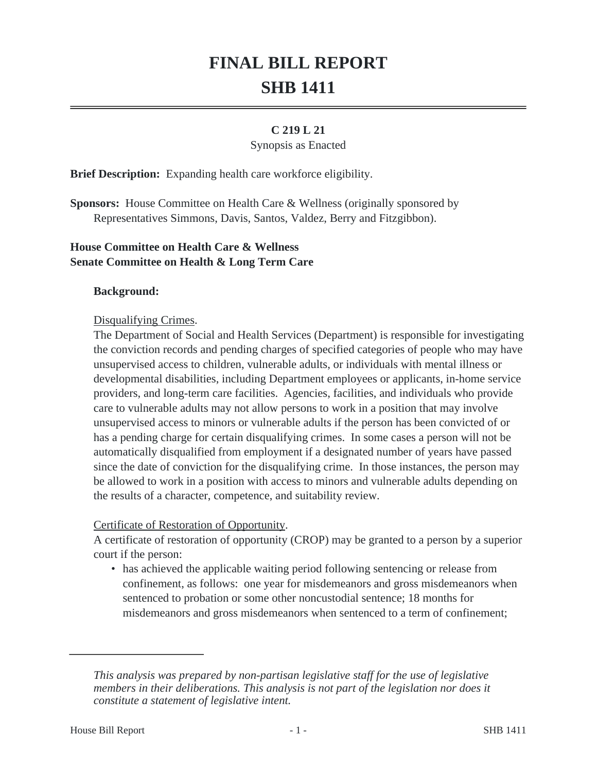# **FINAL BILL REPORT SHB 1411**

## **C 219 L 21**

#### Synopsis as Enacted

**Brief Description:** Expanding health care workforce eligibility.

**Sponsors:** House Committee on Health Care & Wellness (originally sponsored by Representatives Simmons, Davis, Santos, Valdez, Berry and Fitzgibbon).

## **House Committee on Health Care & Wellness Senate Committee on Health & Long Term Care**

#### **Background:**

#### Disqualifying Crimes.

The Department of Social and Health Services (Department) is responsible for investigating the conviction records and pending charges of specified categories of people who may have unsupervised access to children, vulnerable adults, or individuals with mental illness or developmental disabilities, including Department employees or applicants, in-home service providers, and long-term care facilities. Agencies, facilities, and individuals who provide care to vulnerable adults may not allow persons to work in a position that may involve unsupervised access to minors or vulnerable adults if the person has been convicted of or has a pending charge for certain disqualifying crimes. In some cases a person will not be automatically disqualified from employment if a designated number of years have passed since the date of conviction for the disqualifying crime. In those instances, the person may be allowed to work in a position with access to minors and vulnerable adults depending on the results of a character, competence, and suitability review.

#### Certificate of Restoration of Opportunity.

A certificate of restoration of opportunity (CROP) may be granted to a person by a superior court if the person:

• has achieved the applicable waiting period following sentencing or release from confinement, as follows: one year for misdemeanors and gross misdemeanors when sentenced to probation or some other noncustodial sentence; 18 months for misdemeanors and gross misdemeanors when sentenced to a term of confinement;

*This analysis was prepared by non-partisan legislative staff for the use of legislative members in their deliberations. This analysis is not part of the legislation nor does it constitute a statement of legislative intent.*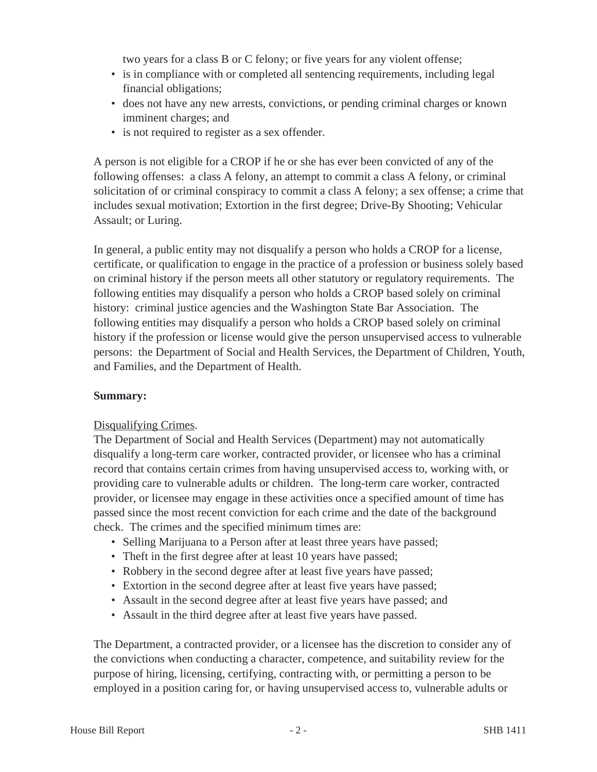two years for a class B or C felony; or five years for any violent offense;

- is in compliance with or completed all sentencing requirements, including legal financial obligations;
- does not have any new arrests, convictions, or pending criminal charges or known imminent charges; and
- is not required to register as a sex offender.

A person is not eligible for a CROP if he or she has ever been convicted of any of the following offenses: a class A felony, an attempt to commit a class A felony, or criminal solicitation of or criminal conspiracy to commit a class A felony; a sex offense; a crime that includes sexual motivation; Extortion in the first degree; Drive-By Shooting; Vehicular Assault; or Luring.

In general, a public entity may not disqualify a person who holds a CROP for a license, certificate, or qualification to engage in the practice of a profession or business solely based on criminal history if the person meets all other statutory or regulatory requirements. The following entities may disqualify a person who holds a CROP based solely on criminal history: criminal justice agencies and the Washington State Bar Association. The following entities may disqualify a person who holds a CROP based solely on criminal history if the profession or license would give the person unsupervised access to vulnerable persons: the Department of Social and Health Services, the Department of Children, Youth, and Families, and the Department of Health.

## **Summary:**

## Disqualifying Crimes.

The Department of Social and Health Services (Department) may not automatically disqualify a long-term care worker, contracted provider, or licensee who has a criminal record that contains certain crimes from having unsupervised access to, working with, or providing care to vulnerable adults or children. The long-term care worker, contracted provider, or licensee may engage in these activities once a specified amount of time has passed since the most recent conviction for each crime and the date of the background check. The crimes and the specified minimum times are:

- Selling Marijuana to a Person after at least three years have passed;
- Theft in the first degree after at least 10 years have passed;
- Robbery in the second degree after at least five years have passed;
- Extortion in the second degree after at least five years have passed;
- Assault in the second degree after at least five years have passed; and
- Assault in the third degree after at least five years have passed.

The Department, a contracted provider, or a licensee has the discretion to consider any of the convictions when conducting a character, competence, and suitability review for the purpose of hiring, licensing, certifying, contracting with, or permitting a person to be employed in a position caring for, or having unsupervised access to, vulnerable adults or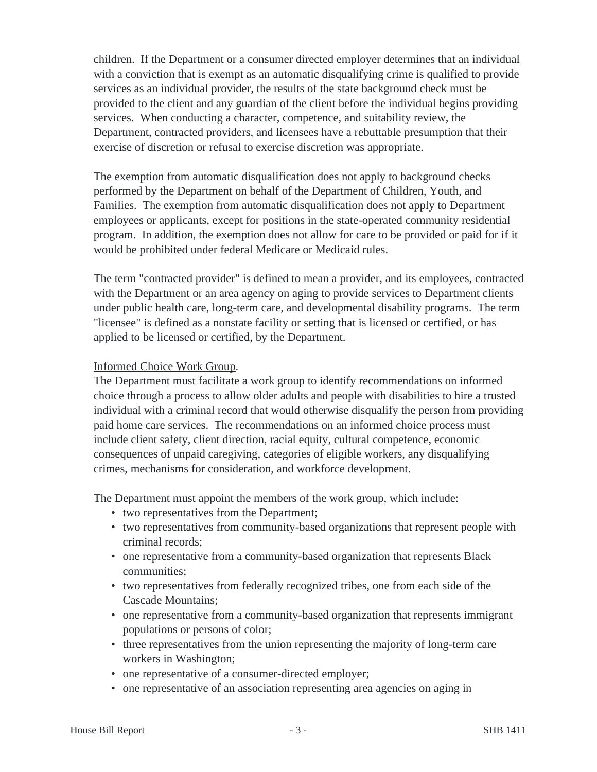children. If the Department or a consumer directed employer determines that an individual with a conviction that is exempt as an automatic disqualifying crime is qualified to provide services as an individual provider, the results of the state background check must be provided to the client and any guardian of the client before the individual begins providing services. When conducting a character, competence, and suitability review, the Department, contracted providers, and licensees have a rebuttable presumption that their exercise of discretion or refusal to exercise discretion was appropriate.

The exemption from automatic disqualification does not apply to background checks performed by the Department on behalf of the Department of Children, Youth, and Families. The exemption from automatic disqualification does not apply to Department employees or applicants, except for positions in the state-operated community residential program. In addition, the exemption does not allow for care to be provided or paid for if it would be prohibited under federal Medicare or Medicaid rules.

The term "contracted provider" is defined to mean a provider, and its employees, contracted with the Department or an area agency on aging to provide services to Department clients under public health care, long-term care, and developmental disability programs. The term "licensee" is defined as a nonstate facility or setting that is licensed or certified, or has applied to be licensed or certified, by the Department.

## Informed Choice Work Group.

The Department must facilitate a work group to identify recommendations on informed choice through a process to allow older adults and people with disabilities to hire a trusted individual with a criminal record that would otherwise disqualify the person from providing paid home care services. The recommendations on an informed choice process must include client safety, client direction, racial equity, cultural competence, economic consequences of unpaid caregiving, categories of eligible workers, any disqualifying crimes, mechanisms for consideration, and workforce development.

The Department must appoint the members of the work group, which include:

- two representatives from the Department;
- two representatives from community-based organizations that represent people with criminal records;
- one representative from a community-based organization that represents Black communities;
- two representatives from federally recognized tribes, one from each side of the Cascade Mountains;
- one representative from a community-based organization that represents immigrant populations or persons of color;
- three representatives from the union representing the majority of long-term care workers in Washington;
- one representative of a consumer-directed employer;
- one representative of an association representing area agencies on aging in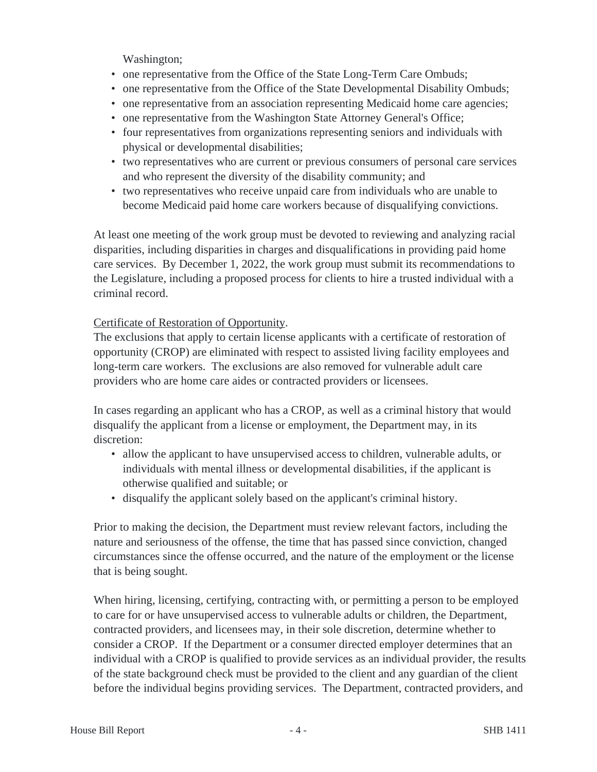Washington;

- one representative from the Office of the State Long-Term Care Ombuds;
- one representative from the Office of the State Developmental Disability Ombuds;
- one representative from an association representing Medicaid home care agencies;
- one representative from the Washington State Attorney General's Office;
- four representatives from organizations representing seniors and individuals with physical or developmental disabilities;
- two representatives who are current or previous consumers of personal care services and who represent the diversity of the disability community; and
- two representatives who receive unpaid care from individuals who are unable to become Medicaid paid home care workers because of disqualifying convictions.

At least one meeting of the work group must be devoted to reviewing and analyzing racial disparities, including disparities in charges and disqualifications in providing paid home care services. By December 1, 2022, the work group must submit its recommendations to the Legislature, including a proposed process for clients to hire a trusted individual with a criminal record.

## Certificate of Restoration of Opportunity.

The exclusions that apply to certain license applicants with a certificate of restoration of opportunity (CROP) are eliminated with respect to assisted living facility employees and long-term care workers. The exclusions are also removed for vulnerable adult care providers who are home care aides or contracted providers or licensees.

In cases regarding an applicant who has a CROP, as well as a criminal history that would disqualify the applicant from a license or employment, the Department may, in its discretion:

- allow the applicant to have unsupervised access to children, vulnerable adults, or individuals with mental illness or developmental disabilities, if the applicant is otherwise qualified and suitable; or
- disqualify the applicant solely based on the applicant's criminal history.

Prior to making the decision, the Department must review relevant factors, including the nature and seriousness of the offense, the time that has passed since conviction, changed circumstances since the offense occurred, and the nature of the employment or the license that is being sought.

When hiring, licensing, certifying, contracting with, or permitting a person to be employed to care for or have unsupervised access to vulnerable adults or children, the Department, contracted providers, and licensees may, in their sole discretion, determine whether to consider a CROP. If the Department or a consumer directed employer determines that an individual with a CROP is qualified to provide services as an individual provider, the results of the state background check must be provided to the client and any guardian of the client before the individual begins providing services. The Department, contracted providers, and